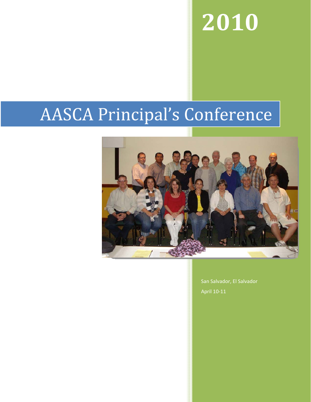# **2010**

# AASCA Principal's Conference



San Salvador, El Salvador April 10‐11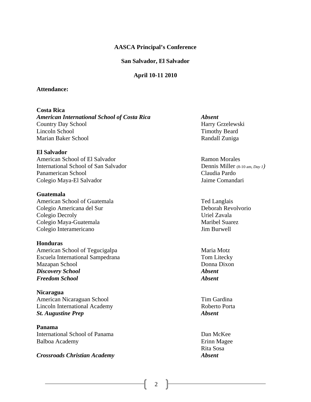#### **AASCA Principal's Conference**

#### **San Salvador, El Salvador**

#### **April 10-11 2010**

#### **Attendance:**

#### **Costa Rica**

*American International School of Costa Rica Absent*  Country Day School Harry Grzelewski Lincoln School Timothy Beard Marian Baker School **Randall Zuniga** Randall Zuniga

#### **El Salvador**

American School of El Salvador Ramon Morales International School of San SalvadorDennis Miller (8-10 am, *Day 1)*  Panamerican School Claudia Pardo Colegio Maya-El Salvador Jaime Comandari

#### **Guatemala**

American School of Guatemala Ted Langlais Colegio Americana del Sur Deborah Revolvorio Colegio Decroly Uriel Zavala Colegio Maya-Guatemala Maribel Suarez Colegio Interamericano Jim Burwell

#### **Honduras**

American School of Tegucigalpa Maria Motz Escuela International Sampedrana Tom Litecky Mazapan School Donna Dixon *Discovery School Absent Freedom School Absent* 

**Nicaragua**  American Nicaraguan School Tim Gardina Lincoln International AcademyRoberto Porta *St. Augustine Prep Absent*

**Panama**  International School of Panama Dan McKee Balboa Academy **Example 2018** Erinn Magee

#### *Crossroads Christian Academy Absent*

Rita Sosa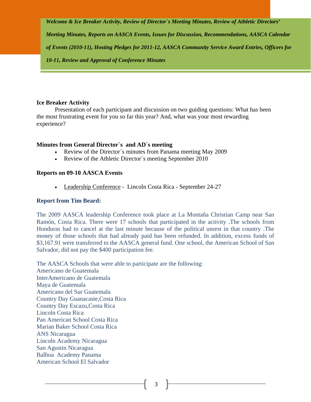*Welcome & Ice Breaker Activity, Review of Director`s Meeting Minutes, Review of Athletic Directors'* 

*Meeting Minutes, Reports on AASCA Events, Issues for Discussion, Recommendations, AASCA Calendar* 

*of Events (2010-11), Hosting Pledges for 2011-12, AASCA Community Service Award Entries, Officers for* 

*10-11, Review and Approval of Conference Minutes* 

#### **Ice Breaker Activity**

Presentation of each participant and discussion on two guiding questions: What has been the most frustrating event for you so far this year? And, what was your most rewarding experience?

#### **Minutes from General Director´s and AD´s meeting**

- Review of the Director's minutes from Panama meeting May 2009
- Review of the Athletic Director's meeting September 2010

# **Reports on 09-10 AASCA Events**

• Leadership Conference - Lincoln Costa Rica - September 24-27

### **Report from Tim Beard:**

The 2009 AASCA leadership Conference took place at La Montaña Christian Camp near San Ramón, Costa Rica. There were 17 schools that participated in the activity .The schools from Honduras had to cancel at the last minute because of the political unrest in that country .The money of those schools that had already paid has been refunded. In addition, excess funds of \$3,167.91 were transferred to the AASCA general fund. One school, the American School of San Salvador, did not pay the \$400 participation fee.

The AASCA Schools that were able to participate are the following: Americano de Guatemala InterAmericano de Guatemala Maya de Guatemala Americano del Sur Guatemala Country Day Guanacaste,Costa Rica Country Day Escazu,Costa Rica Lincoln Costa Rica Pan American School Costa Rica Marian Baker School Costa Rica ANS Nicaragua Lincoln Academy Nicaragua San Agustin Nicaragua Balboa Academy Panama American School El Salvador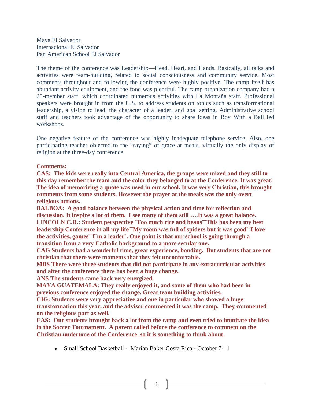Maya El Salvador Internacional El Salvador Pan American School El Salvador

The theme of the conference was Leadership—Head, Heart, and Hands. Basically, all talks and activities were team-building, related to social consciousness and community service. Most comments throughout and following the conference were highly positive. The camp itself has abundant activity equipment, and the food was plentiful. The camp organization company had a 25-member staff, which coordinated numerous activities with La Montaña staff. Professional speakers were brought in from the U.S. to address students on topics such as transformational leadership, a vision to lead, the character of a leader, and goal setting. Administrative school staff and teachers took advantage of the opportunity to share ideas in Boy With a Ball led workshops.

One negative feature of the conference was highly inadequate telephone service. Also, one participating teacher objected to the "saying" of grace at meals, virtually the only display of religion at the three-day conference.

#### **Comments:**

**CAS: The kids were really into Central America, the groups were mixed and they still to this day remember the team and the color they belonged to at the Conference. It was great! The idea of memorizing a quote was used in our school. It was very Christian, this brought comments from some students. However the prayer at the meals was the only overt religious actions.**

**BALBOA: A good balance between the physical action and time for reflection and discussion. It inspire a lot of them. I see many of them still ….It was a great balance. LINCOLN C.R.: Student perspective ¨Too much rice and beans¨¨This has been my best leadership Conference in all my life¨¨My room was full of spiders but it was good¨¨I love the activities, games¨¨I´m a leader¨. One point is that our school is going through a transition from a very Catholic background to a more secular one.** 

**CAG Students had a wonderful time, great experience, bonding. But students that are not christian that there were moments that they felt unconfortable.** 

**MBS There were three students that did not participate in any extracurricular activities and after the conference there has been a huge change.** 

**ANS The students came back very energized.** 

**MAYA GUATEMALA: They really enjoyed it, and some of them who had been in previous conference enjoyed the change. Great team building activities.** 

**CIG: Students were very appreciative and one in particular who showed a huge transformation this year, and the advisor commented it was the camp. They commented on the religious part as well.** 

**EAS: Our students brought back a lot from the camp and even tried to immitate the idea in the Soccer Tournament. A parent called before the conference to comment on the Christian undertone of the Conference, so it is something to think about.** 

• Small School Basketball - Marian Baker Costa Rica - October 7-11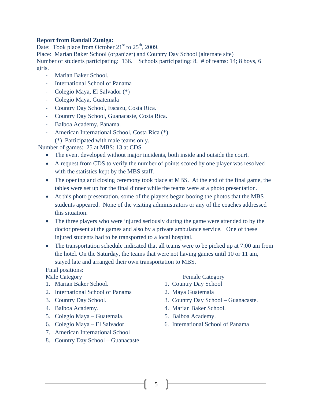#### **Report from Randall Zuniga:**

Date: Took place from October  $21<sup>st</sup>$  to  $25<sup>th</sup>$ , 2009.

Place: Marian Baker School (organizer) and Country Day School (alternate site) Number of students participating: 136. Schools participating: 8. # of teams: 14; 8 boys, 6 girls.

- ‐ Marian Baker School.
- ‐ International School of Panama
- ‐ Colegio Maya, El Salvador (\*)
- ‐ Colegio Maya, Guatemala
- ‐ Country Day School, Escazu, Costa Rica.
- ‐ Country Day School, Guanacaste, Costa Rica.
- ‐ Balboa Academy, Panama.
- ‐ American International School, Costa Rica (\*) (\*) Participated with male teams only.

Number of games: 25 at MBS; 13 at CDS.

- The event developed without major incidents, both inside and outside the court.
- A request from CDS to verify the number of points scored by one player was resolved with the statistics kept by the MBS staff.
- The opening and closing ceremony took place at MBS. At the end of the final game, the tables were set up for the final dinner while the teams were at a photo presentation.
- At this photo presentation, some of the players began booing the photos that the MBS students appeared. None of the visiting administrators or any of the coaches addressed this situation.
- The three players who were injured seriously during the game were attended to by the doctor present at the games and also by a private ambulance service. One of these injured students had to be transported to a local hospital.
- The transportation schedule indicated that all teams were to be picked up at 7:00 am from the hotel. On the Saturday, the teams that were not having games until 10 or 11 am, stayed late and arranged their own transportation to MBS.

# Final positions:

- 1. Marian Baker School. 1. Country Day School
- 2. International School of Panama 2. Maya Guatemala
- 
- 
- 5. Colegio Maya Guatemala. 5. Balboa Academy.
- 
- 7. American International School
- 8. Country Day School Guanacaste.

#### Male Category **Female Category**

- 
- 
- 3. Country Day School. 3. Country Day School Guanacaste.
- 4. Balboa Academy. 4. Marian Baker School.
	-
- 6. Colegio Maya El Salvador. 6. International School of Panama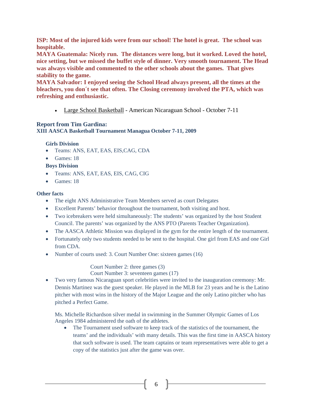**ISP: Most of the injured kids were from our school! The hotel is great. The school was hospitable.** 

**MAYA Guatemala: Nicely run. The distances were long, but it worked. Loved the hotel, nice setting, but we missed the buffet style of dinner. Very smooth tournament. The Head was always visible and commented to the other schools about the games. That gives stability to the game.** 

**MAYA Salvador: I enjoyed seeing the School Head always present, all the times at the bleachers, you don´t see that often. The Closing ceremony involved the PTA, which was refreshing and enthusiastic.** 

• Large School Basketball - American Nicaraguan School - October 7-11

#### **Report from Tim Gardina:**

**XIII AASCA Basketball Tournament Managua October 7-11, 2009** 

#### **Girls Division**

- Teams: ANS, EAT, EAS, EIS, CAG, CDA
- Games: 18
- **Boys Division**
- Teams: ANS, EAT, EAS, EIS, CAG, CIG
- Games: 18

#### **Other facts**

- The eight ANS Administrative Team Members served as court Delegates
- Excellent Parents' behavior throughout the tournament, both visiting and host.
- Two icebreakers were held simultaneously: The students' was organized by the host Student Council. The parents' was organized by the ANS PTO (Parents Teacher Organization).
- The AASCA Athletic Mission was displayed in the gym for the entire length of the tournament.
- Fortunately only two students needed to be sent to the hospital. One girl from EAS and one Girl from CDA.
- Number of courts used: 3. Court Number One: sixteen games (16)

 Court Number 2: three games (3) Court Number 3: seventeen games (17)

• Two very famous Nicaraguan sport celebrities were invited to the inauguration ceremony: Mr. Dennis Martinez was the guest speaker. He played in the MLB for 23 years and he is the Latino pitcher with most wins in the history of the Major League and the only Latino pitcher who has pitched a Perfect Game.

Ms. Michelle Richardson silver medal in swimming in the Summer Olympic Games of Los Angeles 1984 administered the oath of the athletes.

• The Tournament used software to keep track of the statistics of the tournament, the teams' and the individuals' with many details. This was the first time in AASCA history that such software is used. The team captains or team representatives were able to get a copy of the statistics just after the game was over.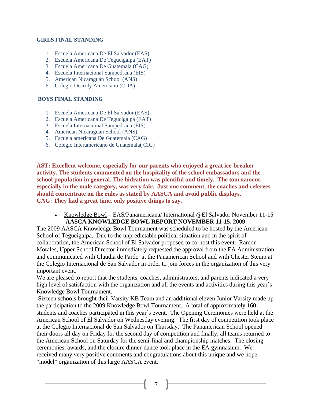#### **GIRLS FINAL STANDING**

- 1. Escuela Americana De El Salvador (EAS)
- 2. Escuela Americana De Tegucigalpa (EAT)
- 3. Escuela Americana De Guatemala (CAG)
- 4. Escuela Internacional Sampedrana (EIS)
- 5. American Nicaraguan School (ANS)
- 6. Colegio Decroly Americano (CDA)

#### **BOYS FINAL STANDING**

- 1. Escuela Americana De El Salvador (EAS)
- 2. Escuela Americana De Tegucigalpa (EAT)
- 3. Escuela Internacional Sampedrana (EIS)
- 4. American Nicaraguan School (ANS)
- 5. Escuela americana De Guatemala (CAG)
- 6. Colegio Interamericano de Guatemala( CIG)

**AST: Excellent welcome, especially for our parents who enjoyed a great ice-breaker activity. The students commented on the hospitality of the school embassadors and the school population in general. The hidration was plentiful and timely. The tournament, especially in the male category, was very fair. Just one comment, the coaches and referees should concentrate on the rules as stated by AASCA and avoid public displays. CAG: They had a great time, only positive things to say.** 

• Knowledge Bowl – EAS/Panamericana/ International @El Salvador November 11-15 **AASCA KNOWLEDGE BOWL REPORT NOVEMBER 11-15, 2009** 

The 2009 AASCA Knowledge Bowl Tournament was scheduled to be hosted by the American School of Tegucigalpa. Due to the unpredictable political situation and in the spirit of collaboration, the American School of El Salvador proposed to co-host this event. Ramon Morales, Upper School Director immediately requested the approval from the EA Administration and communicated with Claudia de Pardo at the Panamerican School and with Chester Stemp at the Colegio Internacional de San Salvador in order to join forces in the organization of this very important event.

We are pleased to report that the students, coaches, administrators, and parents indicated a very high level of satisfaction with the organization and all the events and activities during this year's Knowledge Bowl Tournament.

Sixteen schools brought their Varsity KB Team and an additional eleven Junior Varsity made up the participation to the 2009 Knowledge Bowl Tournament. A total of approximately 160 students and coaches participated in this year`s event. The Opening Ceremonies were held at the American School of El Salvador on Wednesday evening. The first day of competition took place at the Colegio Internacional de San Salvador on Thursday. The Panamerican School opened their doors all day on Friday for the second day of competition and finally, all teams returned to the American School on Saturday for the semi-final and championship matches. The closing ceremonies, awards, and the closure dinner-dance took place in the EA gymnasium. We received many very positive comments and congratulations about this unique and we hope "model" organization of this large AASCA event.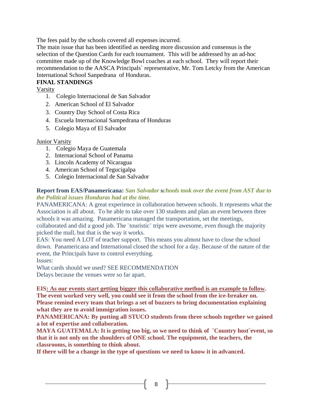The fees paid by the schools covered all expenses incurred.

The main issue that has been identified as needing more discussion and consensus is the selection of the Question Cards for each tournament. This will be addressed by an ad-hoc committee made up of the Knowledge Bowl coaches at each school. They will report their recommendation to the AASCA Principals` representative, Mr. Tom Letcky from the American International School Sanpedrana of Honduras.

# **FINAL STANDINGS**

Varsity

- 1. Colegio Internacional de San Salvador
- 2. American School of El Salvador
- 3. Country Day School of Costa Rica
- 4. Escuela Internacional Sampedrana of Honduras
- 5. Colegio Maya of El Salvador

# Junior Varsity

- 1. Colegio Maya de Guatemala
- 2. Internacional School of Panama
- 3. Lincoln Academy of Nicaragua
- 4. American School of Tegucigalpa
- 5. Colegio Internacional de San Salvador

# **Report from EAS/Panamericana:** *San Salvador* **s***chools took over the event from AST due to the Political issues Honduras had at the time.*

PANAMERICANA: A great experience in collaboration between schools. It represents what the Association is all about. To be able to take over 130 students and plan an event between three schools it was amazing. Panamericana managed the transportation, set the meetings, collaborated and did a good job. The ¨touristic¨ trips were awesome, even though the majority picked the mall, but that is the way it works.

EAS: You need A LOT of teacher support. This means you almost have to close the school down. Panamericana and International closed the school for a day. Because of the nature of the event, the Principals have to control everything.

Issues:

What cards should we used? SEE RECOMMENDATION Delays because the venues were so far apart.

**EIS: As our events start getting bigger this collaborative method is an example to follow. The event worked very well, you could see it from the school from the ice-breaker on. Please remind every team that brings a set of buzzers to bring documentation explaining what they are to avoid immigration issues.** 

**PANAMERICANA: By putting all STUCO students from three schools together we gained a lot of expertise and collaboration.** 

**MAYA GUATEMALA: It is getting too big, so we need to think of ¨Country host¨event, so that it is not only on the shoulders of ONE school. The equipment, the teachers, the classrooms, is something to think about.**

**If there will be a change in the type of questions we need to know it in advanced.**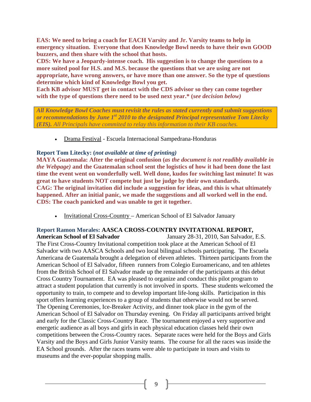**EAS: We need to bring a coach for EACH Varsity and Jr. Varsity teams to help in emergency situation. Everyone that does Knowledge Bowl needs to have their own GOOD buzzers, and then share with the school that hosts.** 

**CDS: We have a Jeopardy-intense coach. His suggestion is to change the questions to a more suited pool for H.S. and M.S. because the questions that we are using are not appropriate, have wrong answers, or have more than one answer. So the type of questions determine which kind of Knowledge Bowl you get.** 

**Each KB advisor MUST get in contact with the CDS advisor so they can come together with the type of questions there need to be used next year.\* (***see decision below)* 

*All Knowledge Bowl Coaches must revisit the rules as stated currently and submit suggestions or recommendations by June 1st 2010 to the designated Principal representative Tom Litecky (EIS). All Principals have commited to relay this information to their KB coaches.*

• Drama Festival - Escuela Internacional Sampedrana-Honduras

# **Report Tom Litecky: (***not available at time of printing)*

**MAYA Guatemala: After the original confusion (***as the document is not readibly available in the Webpage)* **and the Guatemalan school sent the logistics of how it had been done the last time the event went on wonderfully well. Well done, kudos for switching last minute! It was great to have students NOT compete but just be judge by their own standards. CAG: The original invitation did include a suggestion for ideas, and this is what ultimately happened. After an initial panic, we made the suggestions and all worked well in the end.** 

**CDS: The coach panicked and was unable to get it together.** 

• Invitational Cross-Country - American School of El Salvador January

#### **Report Ramon Morales: AASCA CROSS-COUNTRY INVITATIONAL REPORT, American School of El Salvador** January 28-31, 2010, San Salvador, E.S.

The First Cross-Country Invitational competition took place at the American School of El Salvador with two AASCA Schools and two local bilingual schools participating. The Escuela Americana de Guatemala brought a delegation of eleven athletes. Thirteen participants from the American School of El Salvador, fifteen runners from Colegio Euroamericano, and ten athletes from the British School of El Salvador made up the remainder of the participants at this debut Cross Country Tournament. EA was pleased to organize and conduct this pilot program to attract a student population that currently is not involved in sports. These students welcomed the opportunity to train, to compete and to develop important life-long skills. Participation in this sport offers learning experiences to a group of students that otherwise would not be served. The Opening Ceremonies, Ice-Breaker Activity, and dinner took place in the gym of the American School of El Salvador on Thursday evening. On Friday all participants arrived bright and early for the Classic Cross-Country Race. The tournament enjoyed a very supportive and energetic audience as all boys and girls in each physical education classes held their own competitions between the Cross-Country races. Separate races were held for the Boys and Girls Varsity and the Boys and Girls Junior Varsity teams. The course for all the races was inside the EA School grounds. After the races teams were able to participate in tours and visits to museums and the ever-popular shopping malls.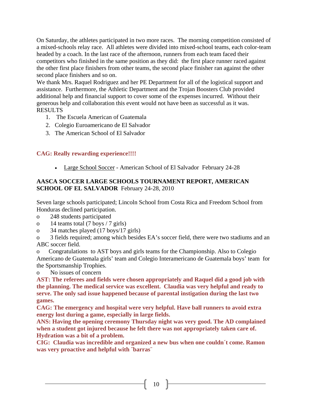On Saturday, the athletes participated in two more races. The morning competition consisted of a mixed-schools relay race. All athletes were divided into mixed-school teams, each color-team headed by a coach. In the last race of the afternoon, runners from each team faced their competitors who finished in the same position as they did: the first place runner raced against the other first place finishers from other teams, the second place finisher ran against the other second place finishers and so on.

We thank Mrs. Raquel Rodriguez and her PE Department for all of the logistical support and assistance. Furthermore, the Athletic Department and the Trojan Boosters Club provided additional help and financial support to cover some of the expenses incurred. Without their generous help and collaboration this event would not have been as successful as it was. RESULTS

- 1. The Escuela American of Guatemala
- 2. Colegio Euroamericano de El Salvador
- 3. The American School of El Salvador

# **CAG: Really rewarding experience!!!!**

• Large School Soccer - American School of El Salvador February 24-28

# **AASCA SOCCER LARGE SCHOOLS TOURNAMENT REPORT, AMERICAN SCHOOL OF EL SALVADOR** February 24-28, 2010

Seven large schools participated; Lincoln School from Costa Rica and Freedom School from Honduras declined participation.

- o 248 students participated
- o 14 teams total (7 boys / 7 girls)
- o 34 matches played (17 boys/17 girls)

o 3 fields required; among which besides EA's soccer field, there were two stadiums and an ABC soccer field.

o Congratulations to AST boys and girls teams for the Championship. Also to Colegio Americano de Guatemala girls' team and Colegio Interamericano de Guatemala boys' team for the Sportsmanship Trophies.

o No issues of concern

**AST: The referees and fields were chosen appropriately and Raquel did a good job with the planning. The medical service was excellent. Claudia was very helpful and ready to serve. The only sad issue happened because of parental instigation during the last two games.** 

**CAG: The emergency and hospital were very helpful. Have ball runners to avoid extra energy lost during a game, especially in large fields.** 

**ANS: Having the opening ceremony Thursday night was very good. The AD complained when a student got injured because he felt there was not appropriately taken care of. Hydration was a bit of a problem.** 

**CIG: Claudia was incredible and organized a new bus when one couldn´t come. Ramon was very proactive and helpful with ¨barras¨**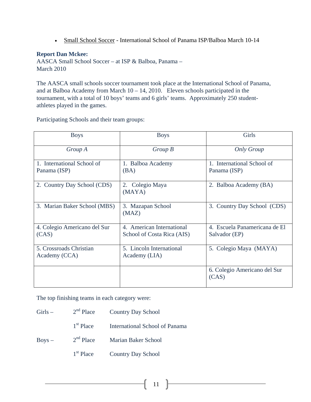• Small School Soccer - International School of Panama ISP/Balboa March 10-14

# **Report Dan Mckee:**

AASCA Small School Soccer – at ISP & Balboa, Panama – March 2010

The AASCA small schools soccer tournament took place at the International School of Panama, and at Balboa Academy from March  $10 - 14$ , 2010. Eleven schools participated in the tournament, with a total of 10 boys' teams and 6 girls' teams. Approximately 250 studentathletes played in the games.

Participating Schools and their team groups:

| <b>Boys</b>                                | <b>Boys</b>                                               | Girls                                          |
|--------------------------------------------|-----------------------------------------------------------|------------------------------------------------|
| Group A                                    | Group B                                                   | <b>Only Group</b>                              |
| 1. International School of<br>Panama (ISP) | 1. Balboa Academy<br>(BA)                                 | 1. International School of<br>Panama (ISP)     |
| 2. Country Day School (CDS)                | 2. Colegio Maya<br>2. Balboa Academy (BA)<br>(MAYA)       |                                                |
| 3. Marian Baker School (MBS)               | 3. Country Day School (CDS)<br>3. Mazapan School<br>(MAZ) |                                                |
| 4. Colegio Americano del Sur<br>(CAS)      | 4. American International<br>School of Costa Rica (AIS)   | 4. Escuela Panamericana de El<br>Salvador (EP) |
| 5. Crossroads Christian<br>Academy (CCA)   | 5. Lincoln International<br>Academy (LIA)                 | 5. Colegio Maya (MAYA)                         |
|                                            |                                                           | 6. Colegio Americano del Sur<br>(CAS)          |

The top finishing teams in each category were:

| $Girls -$ |             | 2 <sup>nd</sup> Place Country Day School |
|-----------|-------------|------------------------------------------|
|           | $1st$ Place | International School of Panama           |
| $Boys -$  | $2nd$ Place | <b>Marian Baker School</b>               |
|           | $1st$ Place | <b>Country Day School</b>                |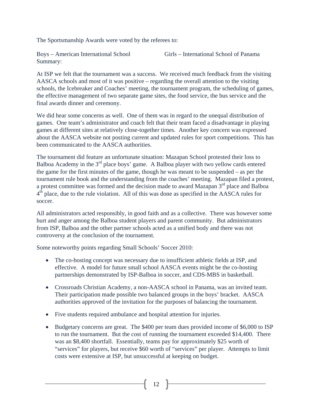The Sportsmanship Awards were voted by the referees to:

Summary:

Boys – American International School Girls – International School of Panama

At ISP we felt that the tournament was a success. We received much feedback from the visiting AASCA schools and most of it was positive – regarding the overall attention to the visiting schools, the Icebreaker and Coaches' meeting, the tournament program, the scheduling of games, the effective management of two separate game sites, the food service, the bus service and the final awards dinner and ceremony.

We did hear some concerns as well. One of them was in regard to the unequal distribution of games. One team's administrator and coach felt that their team faced a disadvantage in playing games at different sites at relatively close-together times. Another key concern was expressed about the AASCA website not posting current and updated rules for sport competitions. This has been communicated to the AASCA authorities.

The tournament did feature an unfortunate situation: Mazapan School protested their loss to Balboa Academy in the 3<sup>rd</sup> place boys' game. A Balboa player with two yellow cards entered the game for the first minutes of the game, though he was meant to be suspended – as per the tournament rule book and the understanding from the coaches' meeting. Mazapan filed a protest, a protest committee was formed and the decision made to award Mazapan 3<sup>rd</sup> place and Balboa  $4<sup>th</sup>$  place, due to the rule violation. All of this was done as specified in the AASCA rules for soccer.

All administrators acted responsibly, in good faith and as a collective. There was however some hurt and anger among the Balboa student players and parent community. But administrators from ISP, Balboa and the other partner schools acted as a unified body and there was not controversy at the conclusion of the tournament.

Some noteworthy points regarding Small Schools' Soccer 2010:

- The co-hosting concept was necessary due to insufficient athletic fields at ISP, and effective. A model for future small school AASCA events might be the co-hosting partnerships demonstrated by ISP-Balboa in soccer, and CDS-MBS in basketball.
- Crossroads Christian Academy, a non-AASCA school in Panama, was an invited team. Their participation made possible two balanced groups in the boys' bracket. AASCA authorities approved of the invitation for the purposes of balancing the tournament.
- Five students required ambulance and hospital attention for injuries.
- Budgetary concerns are great. The \$400 per team dues provided income of \$6,000 to ISP to run the tournament. But the cost of running the tournament exceeded \$14,400. There was an \$8,400 shortfall. Essentially, teams pay for approximately \$25 worth of "services" for players, but receive \$60 worth of "services" per player. Attempts to limit costs were extensive at ISP, but unsuccessful at keeping on budget.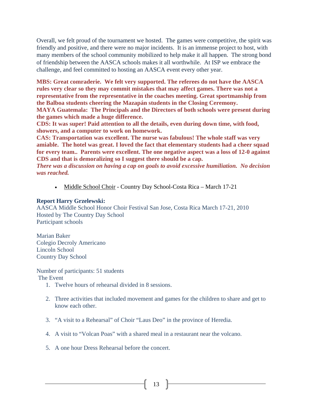Overall, we felt proud of the tournament we hosted. The games were competitive, the spirit was friendly and positive, and there were no major incidents. It is an immense project to host, with many members of the school community mobilized to help make it all happen. The strong bond of friendship between the AASCA schools makes it all worthwhile. At ISP we embrace the challenge, and feel committed to hosting an AASCA event every other year.

**MBS: Great comraderie. We felt very supported. The referees do not have the AASCA rules very clear so they may commit mistakes that may affect games. There was not a representative from the representative in the coaches meeting. Great sportmanship from the Balboa students cheering the Mazapán students in the Closing Ceremony.** 

**MAYA Guatemala: The Principals and the Directors of both schools were present during the games which made a huge difference.** 

**CDS: It was super! Paid attention to all the details, even during down time, with food, showers, and a computer to work on homework.** 

**CAS: Transportation was excellent. The nurse was fabulous! The whole staff was very amiable. The hotel was great. I loved the fact that elementary students had a cheer squad for every team.. Parents were excellent. The one negative aspect was a loss of 12-0 against CDS and that is demoralizing so I suggest there should be a cap.** 

*There was a discussion on having a cap on goals to avoid excessive humiliation. No decision was reached.* 

• Middle School Choir - Country Day School-Costa Rica – March 17-21

#### **Report Harry Grzelewski:**

AASCA Middle School Honor Choir Festival San Jose, Costa Rica March 17-21, 2010 Hosted by The Country Day School Participant schools

Marian Baker Colegio Decroly Americano Lincoln School Country Day School

Number of participants: 51 students

The Event

- 1. Twelve hours of rehearsal divided in 8 sessions.
- 2. Three activities that included movement and games for the children to share and get to know each other.
- 3. "A visit to a Rehearsal" of Choir "Laus Deo" in the province of Heredia.
- 4. A visit to "Volcan Poas" with a shared meal in a restaurant near the volcano.
- 5. A one hour Dress Rehearsal before the concert.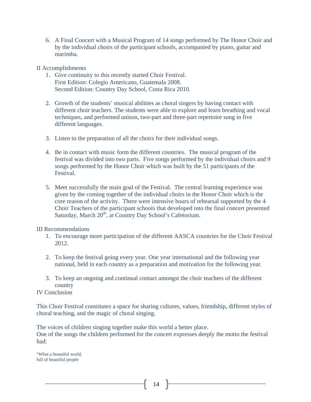6. A Final Concert with a Musical Program of 14 songs performed by The Honor Choir and by the individual choirs of the participant schools, accompanied by piano, guitar and marimba.

#### II Accomplishments

- 1. Give continuity to this recently started Choir Festival. First Edition: Colegio Americano, Guatemala 2008. Second Edition: Country Day School, Costa Rica 2010.
- 2. Growth of the students' musical abilities as choral singers by having contact with different choir teachers. The students were able to explore and learn breathing and vocal techniques, and performed unison, two-part and three-part repertoire sung in five different languages.
- 3. Listen to the preparation of all the choirs for their individual songs.
- 4. Be in contact with music form the different countries. The musical program of the festival was divided into two parts. Five songs performed by the individual choirs and 9 songs performed by the Honor Choir which was built by the 51 participants of the Festival.
- 5. Meet successfully the main goal of the Festival. The central learning experience was given by the coming together of the individual choirs in the Honor Choir which is the core reason of the activity. There were intensive hours of rehearsal supported by the 4 Choir Teachers of the participant schools that developed into the final concert presented Saturday, March 20<sup>th</sup>, at Country Day School's Cafetorium.

#### III Recommendations

- 1. To encourage more participation of the different AASCA countries for the Choir Festival 2012.
- 2. To keep the festival going every year. One year international and the following year national, held in each country as a preparation and motivation for the following year.
- 3. To keep an ongoing and continual contact amongst the choir teachers of the different country

# IV Conclusion

This Choir Festival constitutes a space for sharing cultures, values, friendship, different styles of choral teaching, and the magic of choral singing.

The voices of children singing together make this world a better place. One of the songs the children performed for the concert expresses deeply the motto the festival had:

"What a beautiful world, full of beautiful people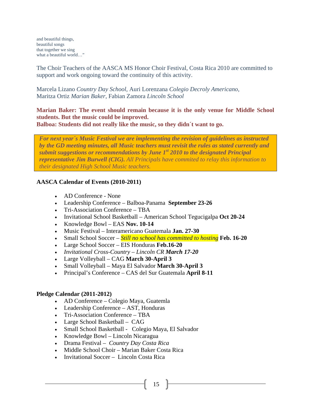and beautiful things, beautiful songs that together we sing what a beautiful world…"

The Choir Teachers of the AASCA MS Honor Choir Festival, Costa Rica 2010 are committed to support and work ongoing toward the continuity of this activity.

Marcela Lizano *Country Day School*, Auri Lorenzana *Colegio Decroly Americano*, Maritza Ortiz *Marian Baker*, Fabian Zamora *Lincoln School*

**Marian Baker: The event should remain because it is the only venue for Middle School students. But the music could be improved. Balboa: Students did not really like the music, so they didn´t want to go.** 

*For next year´s Music Festival we are implementing the revision of guidelines as instructed by the GD meeting minutes, all Music teachers must revisit the rules as stated currently and submit suggestions or recommendations by June 1st 2010 to the designated Principal representative Jim Burwell (CIG). All Principals have commited to relay this information to* 

**AASCA Calendar of Events (2010-2011)** 

*their designated High School Music teachers.*

- AD Conference None
- Leadership Conference Balboa-Panama **September 23-26**
- Tri-Association Conference TBA
- Invitational School Basketball American School Tegucigalpa **Oct 20-24**
- Knowledge Bowl EAS **Nov. 10-14**
- Music Festival Interamericano Guatemala **Jan. 27-30**
- Small School Soccer *Still no school has committed to hosting* **Feb. 16-20**
- Large School Soccer EIS Honduras **Feb.16-20**
- *Invitational Cross-Country Lincoln CR March 17-20*
- Large Volleyball CAG **March 30-April 3**
- Small Volleyball Maya El Salvador **March 30-April 3**
- Principal's Conference CAS del Sur Guatemala **April 8-11**

#### **Pledge Calendar (2011-2012)**

- AD Conference Colegio Maya, Guatemla
- Leadership Conference AST, Honduras
- Tri-Association Conference TBA
- Large School Basketball CAG
- Small School Basketball Colegio Maya, El Salvador
- Knowledge Bowl Lincoln Nicaragua
- Drama Festival *Country Day Costa Rica*
- Middle School Choir Marian Baker Costa Rica
- Invitational Soccer Lincoln Costa Rica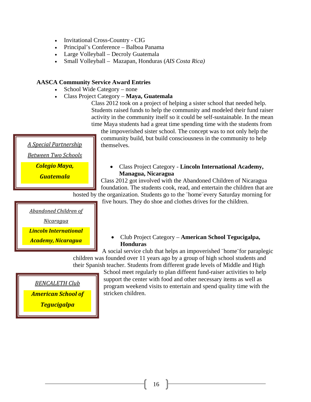- Invitational Cross-Country CIG
- Principal's Conference Balboa Panama
- Large Volleyball Decroly Guatemala
- Small Volleyball Mazapan, Honduras (*AIS Costa Rica)*

#### **AASCA Community Service Award Entries**

- School Wide Category none
- Class Project Category **Maya, Guatemala**

Class 2012 took on a project of helping a sister school that needed help. Students raised funds to help the community and modeled their fund raiser activity in the community itself so it could be self-sustainable. In the mean time Maya students had a great time spending time with the students from

the impoverished sister school. The concept was to not only help the community build, but build consciousness in the community to help themselves.

*A Special Partnership*

*Between Two Schools*

*Colegio Maya,*

*Guatemala*

• Class Project Category - **Lincoln International Academy, Managua, Nicaragua**

Class 2012 got involved with the Abandoned Children of Nicaragua foundation. The students cook, read, and entertain the children that are hosted by the organization. Students go to the "home" every Saturday morning for

five hours. They do shoe and clothes drives for the children.

*Abandoned Children of*

*Nicaragua*

*Lincoln International*

*Academy, Nicaragua*

• Club Project Category – **American School Tegucigalpa, Honduras**

A social service club that helps an impoverished ¨home¨for paraplegic children was founded over 11 years ago by a group of high school students and their Spanish teacher. Students from different grade levels of Middle and High

*BENCALETH Club American School of Tegucigalpa*

School meet regularly to plan diffeent fund-raiser activities to help

support the center with food and other necessary items as well as program weekend visits to entertain and spend quality time with the stricken children.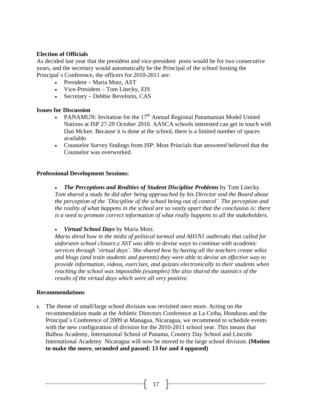# **Election of Officials**

As decided last year that the president and vice-president posts would be for two consecutive years, and the secretary would automatically be the Principal of the school hosting the Principal´s Conference, the officers for 2010-2011 are:

- President Maria Motz, AST
- Vice-President Tom Litecky, EIS
- Secretary Debbie Revelorio, CAS

#### **Issues for Discussion**

- PANAMUN: Invitation for the  $17<sup>th</sup>$  Annual Regional Panamanian Model United Nations at ISP 27-29 October 2010. AASCA schools interested can get in touch with Dan Mckee. Because it is done at the school, there is a limited number of spaces available.
- Counselor Survey findings from ISP: Most Princials that answered believed that the Counselor was overworked.

#### **Professional Development Sessions:**

• *The Perceptions and Realities of Student Discipline Problems* by Tom Litecky. *Tom shared a study he did after being approached by his Director and the Board about the perception of the ¨Discipline of the school being out of control¨ The perception and the reality of what happens in the school are so vastly apart that the conclusion is: there is a need to promote correct information of what really happens to all the stakeholders.* 

• *Virtual School Days* by Maria Motz.

*Maria shred how in the midst of political turmoil and AH1N1 outbreaks that called for unforseen school closure,s AST was able to devise ways to continue with academic services through ¨virtual days¨. She shared how by having all the teachers create wikis and blogs (and train students and parents) they were able to devise an effective way to provide information, videos, exercises, and quizzes electronically to their students when reaching the school was impossible.(examples) She also shared the statistics of the results of the virtual days which were all very positive.*

#### **Recommendations**

**1.** The theme of small/large school division was revisited once more. Acting on the recommendation made at the Athletic Directors Conference at La Ceiba, Honduras and the Principal´s Conference of 2009 at Managua, Nicaragua, we recommend to schedule events with the new configuration of division for the 2010-2011 school year. This means that Balboa Academy, International School of Panama, Country Day School and Lincoln International Academy Nicaragua will now be moved to the large school division. **(Motion to make the move, seconded and passed: 13 for and 4 opposed)**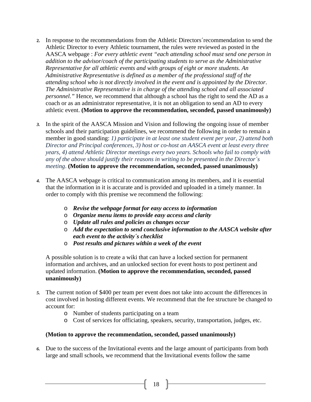- **2.** In response to the recommendations from the Athletic Directors´recommendation to send the Athletic Director to every Athletic tournament, the rules were reviewed as posted in the AASCA webpage : *For every athletic event "each attending school must send one person in addition to the advisor/coach of the participating students to serve as the Administrative Representative for all athletic events and with groups of eight or more students. An Administrative Representative is defined as a member of the professional staff of the attending school who is not directly involved in the event and is appointed by the Director*. *The Administrative Representative is in charge of the attending school and all associated personnel."* Hence, we recommend that although a school has the right to send the AD as a coach or as an administrator representative, it is not an obligation to send an AD to every athletic event. **(Motion to approve the recommendation, seconded, passed unanimously)**
- *3.* In the spirit of the AASCA Mission and Vision and following the ongoing issue of member schools and their participation guidelines, we recommend the following in order to remain a member in good standing: *1) participate in at least one student event per year, 2) attend both Director and Principal conferences, 3) host or co-host an AASCA event at least every three years, 4) attend Athletic Director meetings every two years. Schools who fail to comply with any of the above should justify their reasons in writing to be presented in the Director´s meeting*. **(Motion to approve the recommendation, seconded, passed unanimously)**
- *4.* The AASCA webpage is critical to communication among its members, and it is essential that the information in it is accurate and is provided and uploaded in a timely manner. In order to comply with this premise we recommend the following:
	- o *Revise the webpage format for easy access to information*
	- o *Organize menu items to provide easy access and clarity*
	- o *Update all rules and policies as changes occur*
	- o *Add the expectation to send conclusive information to the AASCA website after each event to the activity´s checklist*
	- o *Post results and pictures within a week of the event*

A possible solution is to create a wiki that can have a locked section for permanent information and archives, and an unlocked section for event hosts to post pertinent and updated information. **(Motion to approve the recommendation, seconded, passed unanimously)**

- *5.* The current notion of \$400 per team per event does not take into account the differences in cost involved in hosting different events. We recommend that the fee structure be changed to account for:
	- o Number of students participating on a team
	- o Cost of services for officiating, speakers, security, transportation, judges, etc.

# **(Motion to approve the recommendation, seconded, passed unanimously)**

*6.* Due to the success of the Invitational events and the large amount of participants from both large and small schools, we recommend that the Invitational events follow the same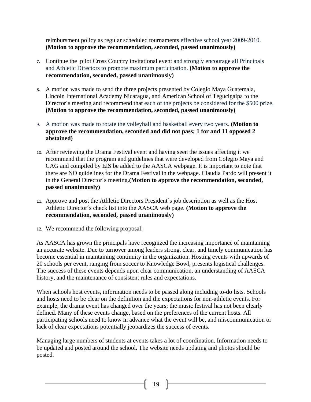reimbursment policy as regular scheduled tournaments effective school year 2009-2010. **(Motion to approve the recommendation, seconded, passed unanimously)**

- **7.** Continue the pilot Cross Country invitational event and strongly encourage all Principals and Athletic Directors to promote maximum participation. **(Motion to approve the recommendation, seconded, passed unanimously)**
- **8.** A motion was made to send the three projects presented by Colegio Maya Guatemala, Lincoln International Academy Nicaragua, and American School of Tegucigalpa to the Director´s meeting and recommend that each of the projects be considered for the \$500 prize. **(Motion to approve the recommendation, seconded, passed unanimously)**
- 9. A motion was made to rotate the volleyball and basketball every two years. **(Motion to approve the recommendation, seconded and did not pass; 1 for and 11 opposed 2 abstained)**
- 10. After reviewing the Drama Festival event and having seen the issues affecting it we recommend that the program and guidelines that were developed from Colegio Maya and CAG and compiled by EIS be added to the AASCA webpage. It is important to note that there are NO guidelines for the Drama Festival in the webpage. Claudia Pardo will present it in the General Director´s meeting.**(Motion to approve the recommendation, seconded, passed unanimously)**
- 11. Approve and post the Athletic Directors President´s job description as well as the Host Athletic Director´s check list into the AASCA web page. **(Motion to approve the recommendation, seconded, passed unanimously)**
- 12. We recommend the following proposal:

As AASCA has grown the principals have recognized the increasing importance of maintaining an accurate website. Due to turnover among leaders strong, clear, and timely communication has become essential in maintaining continuity in the organization. Hosting events with upwards of 20 schools per event, ranging from soccer to Knowledge Bowl, presents logistical challenges. The success of these events depends upon clear communication, an understanding of AASCA history, and the maintenance of consistent rules and expectations.

When schools host events, information needs to be passed along including to-do lists. Schools and hosts need to be clear on the definition and the expectations for non-athletic events. For example, the drama event has changed over the years; the music festival has not been clearly defined. Many of these events change, based on the preferences of the current hosts. All participating schools need to know in advance what the event will be, and miscommunication or lack of clear expectations potentially jeopardizes the success of events.

Managing large numbers of students at events takes a lot of coordination. Information needs to be updated and posted around the school. The website needs updating and photos should be posted.